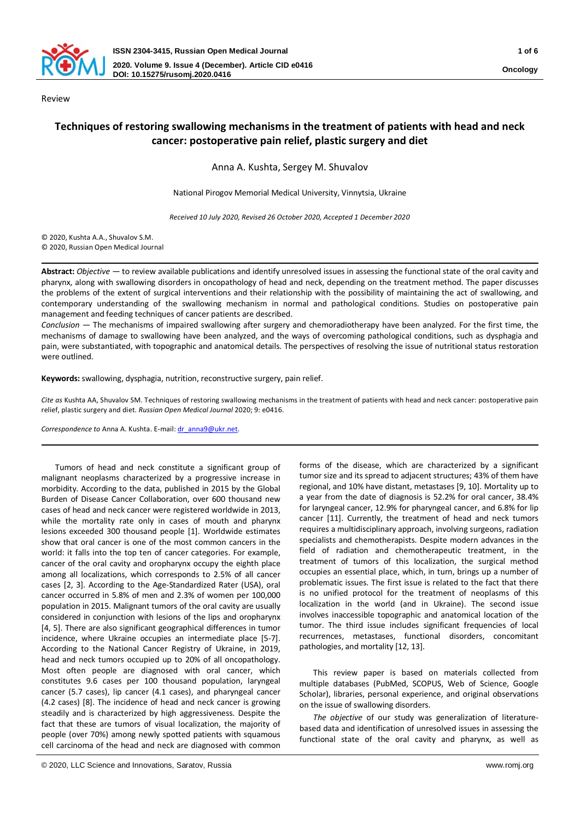

Review

# **Techniques of restoring swallowing mechanisms in the treatment of patients with head and neck cancer: postoperative pain relief, plastic surgery and diet**

Anna А. Kushta, Sergey М. Shuvalov

National Pirogov Memorial Medical University, Vinnytsia, Ukraine

*Received 10 July 2020, Revised 26 October 2020, Accepted 1 December 2020*

© 2020, Kushta A.А., Shuvalov S.М. © 2020, Russian Open Medical Journal

**Abstract:** *Objective* — to review available publications and identify unresolved issues in assessing the functional state of the oral cavity and pharynx, along with swallowing disorders in oncopathology of head and neck, depending on the treatment method. The paper discusses the problems of the extent of surgical interventions and their relationship with the possibility of maintaining the act of swallowing, and contemporary understanding of the swallowing mechanism in normal and pathological conditions. Studies on postoperative pain management and feeding techniques of cancer patients are described.

*Conclusion* — The mechanisms of impaired swallowing after surgery and chemoradiotherapy have been analyzed. For the first time, the mechanisms of damage to swallowing have been analyzed, and the ways of overcoming pathological conditions, such as dysphagia and pain, were substantiated, with topographic and anatomical details. The perspectives of resolving the issue of nutritional status restoration were outlined.

**Keywords:** swallowing, dysphagia, nutrition, reconstructive surgery, pain relief.

*Cite as* Kushta AА, Shuvalov SМ. Techniques of restoring swallowing mechanisms in the treatment of patients with head and neck cancer: postoperative pain relief, plastic surgery and diet. *Russian Open Medical Journal* 2020; 9: e0416.

Correspondence to Anna A. Kushta. E-mail: dr\_anna9@ukr.net.

Tumors of head and neck constitute a significant group of malignant neoplasms characterized by a progressive increase in morbidity. According to the data, published in 2015 by the Global Burden of Disease Cancer Collaboration, over 600 thousand new cases of head and neck cancer were registered worldwide in 2013, while the mortality rate only in cases of mouth and pharynx lesions exceeded 300 thousand people [1]. Worldwide estimates show that oral cancer is one of the most common cancers in the world: it falls into the top ten of cancer categories. For example, cancer of the oral cavity and oropharynx occupy the eighth place among all localizations, which corresponds to 2.5% of all cancer cases [2, 3]. According to the Age-Standardized Rater (USA), oral cancer occurred in 5.8% of men and 2.3% of women per 100,000 population in 2015. Malignant tumors of the oral cavity are usually considered in conjunction with lesions of the lips and oropharynx [4, 5]. There are also significant geographical differences in tumor incidence, where Ukraine occupies an intermediate place [5-7]. According to the National Cancer Registry of Ukraine, in 2019, head and neck tumors occupied up to 20% of all oncopathology. Most often people are diagnosed with oral cancer, which constitutes 9.6 cases per 100 thousand population, laryngeal cancer (5.7 cases), lip cancer (4.1 cases), and pharyngeal cancer (4.2 cases) [8]. The incidence of head and neck cancer is growing steadily and is characterized by high aggressiveness. Despite the fact that these are tumors of visual localization, the majority of people (over 70%) among newly spotted patients with squamous cell carcinoma of the head and neck are diagnosed with common

forms of the disease, which are characterized by a significant tumor size and its spread to adjacent structures; 43% of them have regional, and 10% have distant, metastases [9, 10]. Mortality up to a year from the date of diagnosis is 52.2% for oral cancer, 38.4% for laryngeal cancer, 12.9% for pharyngeal cancer, and 6.8% for lip cancer [11]. Currently, the treatment of head and neck tumors requires a multidisciplinary approach, involving surgeons, radiation specialists and chemotherapists. Despite modern advances in the field of radiation and chemotherapeutic treatment, in the treatment of tumors of this localization, the surgical method occupies an essential place, which, in turn, brings up a number of problematic issues. The first issue is related to the fact that there is no unified protocol for the treatment of neoplasms of this localization in the world (and in Ukraine). The second issue involves inaccessible topographic and anatomical location of the tumor. The third issue includes significant frequencies of local recurrences, metastases, functional disorders, concomitant pathologies, and mortality [12, 13].

This review paper is based on materials collected from multiple databases (PubMed, SCOPUS, Web of Science, Google Scholar), libraries, personal experience, and original observations on the issue of swallowing disorders.

*The objective* of our study was generalization of literaturebased data and identification of unresolved issues in assessing the functional state of the oral cavity and pharynx, as well as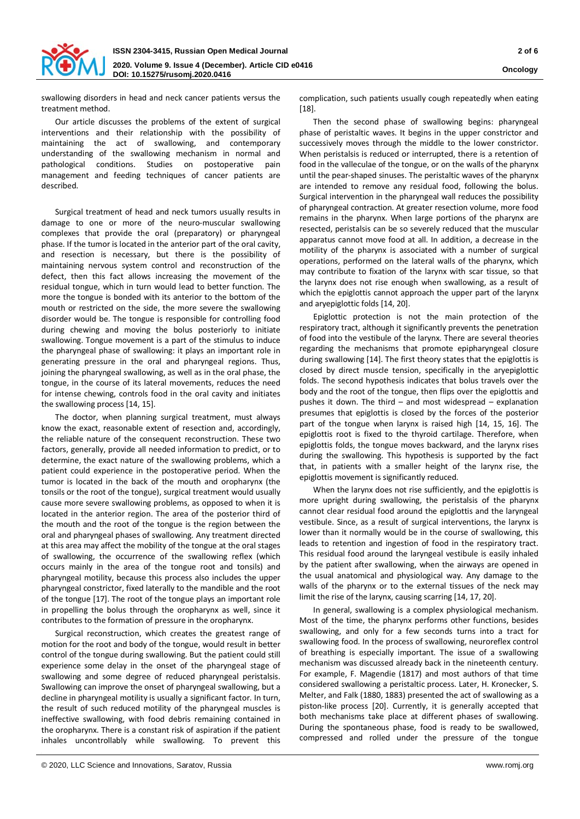

swallowing disorders in head and neck cancer patients versus the treatment method.

Our article discusses the problems of the extent of surgical interventions and their relationship with the possibility of maintaining the act of swallowing, and contemporary understanding of the swallowing mechanism in normal and pathological conditions. Studies on postoperative pain management and feeding techniques of cancer patients are described.

Surgical treatment of head and neck tumors usually results in damage to one or more of the neuro-muscular swallowing complexes that provide the oral (preparatory) or pharyngeal phase. If the tumor is located in the anterior part of the oral cavity, and resection is necessary, but there is the possibility of maintaining nervous system control and reconstruction of the defect, then this fact allows increasing the movement of the residual tongue, which in turn would lead to better function. The more the tongue is bonded with its anterior to the bottom of the mouth or restricted on the side, the more severe the swallowing disorder would be. The tongue is responsible for controlling food during chewing and moving the bolus posteriorly to initiate swallowing. Tongue movement is a part of the stimulus to induce the pharyngeal phase of swallowing: it plays an important role in generating pressure in the oral and pharyngeal regions. Thus, joining the pharyngeal swallowing, as well as in the oral phase, the tongue, in the course of its lateral movements, reduces the need for intense chewing, controls food in the oral cavity and initiates the swallowing process [14, 15].

The doctor, when planning surgical treatment, must always know the exact, reasonable extent of resection and, accordingly, the reliable nature of the consequent reconstruction. These two factors, generally, provide all needed information to predict, or to determine, the exact nature of the swallowing problems, which a patient could experience in the postoperative period. When the tumor is located in the back of the mouth and oropharynx (the tonsils or the root of the tongue), surgical treatment would usually cause more severe swallowing problems, as opposed to when it is located in the anterior region. The area of the posterior third of the mouth and the root of the tongue is the region between the oral and pharyngeal phases of swallowing. Any treatment directed at this area may affect the mobility of the tongue at the oral stages of swallowing, the occurrence of the swallowing reflex (which occurs mainly in the area of the tongue root and tonsils) and pharyngeal motility, because this process also includes the upper pharyngeal constrictor, fixed laterally to the mandible and the root of the tongue [17]. The root of the tongue plays an important role in propelling the bolus through the oropharynx as well, since it contributes to the formation of pressure in the oropharynx.

Surgical reconstruction, which creates the greatest range of motion for the root and body of the tongue, would result in better control of the tongue during swallowing. But the patient could still experience some delay in the onset of the pharyngeal stage of swallowing and some degree of reduced pharyngeal peristalsis. Swallowing can improve the onset of pharyngeal swallowing, but a decline in pharyngeal motility is usually a significant factor. In turn, the result of such reduced motility of the pharyngeal muscles is ineffective swallowing, with food debris remaining contained in the oropharynx. There is a constant risk of aspiration if the patient inhales uncontrollably while swallowing. To prevent this complication, such patients usually cough repeatedly when eating [18].

Then the second phase of swallowing begins: pharyngeal phase of peristaltic waves. It begins in the upper constrictor and successively moves through the middle to the lower constrictor. When peristalsis is reduced or interrupted, there is a retention of food in the valleculae of the tongue, or on the walls of the pharynx until the pear-shaped sinuses. The peristaltic waves of the pharynx are intended to remove any residual food, following the bolus. Surgical intervention in the pharyngeal wall reduces the possibility of pharyngeal contraction. At greater resection volume, more food remains in the pharynx. When large portions of the pharynx are resected, peristalsis can be so severely reduced that the muscular apparatus cannot move food at all. In addition, a decrease in the motility of the pharynx is associated with a number of surgical operations, performed on the lateral walls of the pharynx, which may contribute to fixation of the larynx with scar tissue, so that the larynx does not rise enough when swallowing, as a result of which the epiglottis cannot approach the upper part of the larynx and aryepiglottic folds [14, 20].

Epiglottic protection is not the main protection of the respiratory tract, although it significantly prevents the penetration of food into the vestibule of the larynx. There are several theories regarding the mechanisms that promote epipharyngeal closure during swallowing [14]. The first theory states that the epiglottis is closed by direct muscle tension, specifically in the aryepiglottic folds. The second hypothesis indicates that bolus travels over the body and the root of the tongue, then flips over the epiglottis and pushes it down. The third – and most widespread – explanation presumes that epiglottis is closed by the forces of the posterior part of the tongue when larynx is raised high [14, 15, 16]. The epiglottis root is fixed to the thyroid cartilage. Therefore, when epiglottis folds, the tongue moves backward, and the larynx rises during the swallowing. This hypothesis is supported by the fact that, in patients with a smaller height of the larynx rise, the epiglottis movement is significantly reduced.

When the larynx does not rise sufficiently, and the epiglottis is more upright during swallowing, the peristalsis of the pharynx cannot clear residual food around the epiglottis and the laryngeal vestibule. Since, as a result of surgical interventions, the larynx is lower than it normally would be in the course of swallowing, this leads to retention and ingestion of food in the respiratory tract. This residual food around the laryngeal vestibule is easily inhaled by the patient after swallowing, when the airways are opened in the usual anatomical and physiological way. Any damage to the walls of the pharynx or to the external tissues of the neck may limit the rise of the larynx, causing scarring [14, 17, 20].

In general, swallowing is a complex physiological mechanism. Most of the time, the pharynx performs other functions, besides swallowing, and only for a few seconds turns into a tract for swallowing food. In the process of swallowing, neuroreflex control of breathing is especially important. The issue of a swallowing mechanism was discussed already back in the nineteenth century. For example, F. Magendie (1817) and most authors of that time considered swallowing a peristaltic process. Later, H. Kronecker, S. Melter, and Falk (1880, 1883) presented the act of swallowing as a piston-like process [20]. Currently, it is generally accepted that both mechanisms take place at different phases of swallowing. During the spontaneous phase, food is ready to be swallowed, compressed and rolled under the pressure of the tongue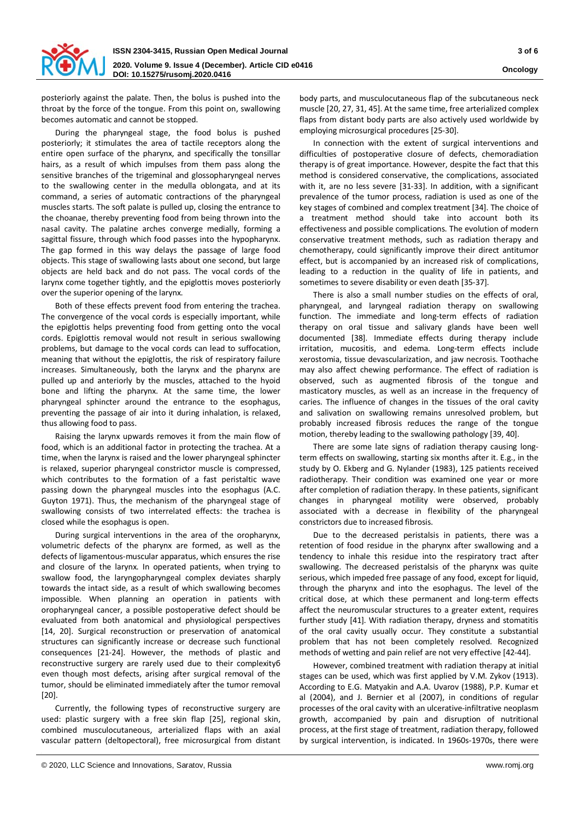

posteriorly against the palate. Then, the bolus is pushed into the throat by the force of the tongue. From this point on, swallowing becomes automatic and cannot be stopped.

During the pharyngeal stage, the food bolus is pushed posteriorly; it stimulates the area of tactile receptors along the entire open surface of the pharynx, and specifically the tonsillar hairs, as a result of which impulses from them pass along the sensitive branches of the trigeminal and glossopharyngeal nerves to the swallowing center in the medulla oblongata, and at its command, a series of automatic contractions of the pharyngeal muscles starts. The soft palate is pulled up, closing the entrance to the choanae, thereby preventing food from being thrown into the nasal cavity. The palatine arches converge medially, forming a sagittal fissure, through which food passes into the hypopharynx. The gap formed in this way delays the passage of large food objects. This stage of swallowing lasts about one second, but large objects are held back and do not pass. The vocal cords of the larynx come together tightly, and the epiglottis moves posteriorly over the superior opening of the larynx.

Both of these effects prevent food from entering the trachea. The convergence of the vocal cords is especially important, while the epiglottis helps preventing food from getting onto the vocal cords. Epiglottis removal would not result in serious swallowing problems, but damage to the vocal cords can lead to suffocation, meaning that without the epiglottis, the risk of respiratory failure increases. Simultaneously, both the larynx and the pharynx are pulled up and anteriorly by the muscles, attached to the hyoid bone and lifting the pharynx. At the same time, the lower pharyngeal sphincter around the entrance to the esophagus, preventing the passage of air into it during inhalation, is relaxed, thus allowing food to pass.

Raising the larynx upwards removes it from the main flow of food, which is an additional factor in protecting the trachea. At a time, when the larynx is raised and the lower pharyngeal sphincter is relaxed, superior pharyngeal constrictor muscle is compressed, which contributes to the formation of a fast peristaltic wave passing down the pharyngeal muscles into the esophagus (A.C. Guyton 1971). Thus, the mechanism of the pharyngeal stage of swallowing consists of two interrelated effects: the trachea is closed while the esophagus is open.

During surgical interventions in the area of the oropharynx, volumetric defects of the pharynx are formed, as well as the defects of ligamentous-muscular apparatus, which ensures the rise and closure of the larynx. In operated patients, when trying to swallow food, the laryngopharyngeal complex deviates sharply towards the intact side, as a result of which swallowing becomes impossible. When planning an operation in patients with oropharyngeal cancer, a possible postoperative defect should be evaluated from both anatomical and physiological perspectives [14, 20]. Surgical reconstruction or preservation of anatomical structures can significantly increase or decrease such functional consequences [21-24]. However, the methods of plastic and reconstructive surgery are rarely used due to their complexityб even though most defects, arising after surgical removal of the tumor, should be eliminated immediately after the tumor removal [20].

Currently, the following types of reconstructive surgery are used: plastic surgery with a free skin flap [25], regional skin, combined musculocutaneous, arterialized flaps with an axial vascular pattern (deltopectoral), free microsurgical from distant

In connection with the extent of surgical interventions and difficulties of postoperative closure of defects, chemoradiation therapy is of great importance. However, despite the fact that this method is considered conservative, the complications, associated with it, are no less severe [31-33]. In addition, with a significant prevalence of the tumor process, radiation is used as one of the key stages of combined and complex treatment [34]. The choice of a treatment method should take into account both its effectiveness and possible complications. The evolution of modern conservative treatment methods, such as radiation therapy and chemotherapy, could significantly improve their direct antitumor effect, but is accompanied by an increased risk of complications, leading to a reduction in the quality of life in patients, and sometimes to severe disability or even death [35-37].

There is also a small number studies on the effects of oral, pharyngeal, and laryngeal radiation therapy on swallowing function. The immediate and long-term effects of radiation therapy on oral tissue and salivary glands have been well documented [38]. Immediate effects during therapy include irritation, mucositis, and edema. Long-term effects include xerostomia, tissue devascularization, and jaw necrosis. Toothache may also affect chewing performance. The effect of radiation is observed, such as augmented fibrosis of the tongue and masticatory muscles, as well as an increase in the frequency of caries. The influence of changes in the tissues of the oral cavity and salivation on swallowing remains unresolved problem, but probably increased fibrosis reduces the range of the tongue motion, thereby leading to the swallowing pathology [39, 40].

There are some late signs of radiation therapy causing longterm effects on swallowing, starting six months after it. E.g., in the study by O. Ekberg and G. Nylander (1983), 125 patients received radiotherapy. Their condition was examined one year or more after completion of radiation therapy. In these patients, significant changes in pharyngeal motility were observed, probably associated with a decrease in flexibility of the pharyngeal constrictors due to increased fibrosis.

Due to the decreased peristalsis in patients, there was a retention of food residue in the pharynx after swallowing and a tendency to inhale this residue into the respiratory tract after swallowing. The decreased peristalsis of the pharynx was quite serious, which impeded free passage of any food, except for liquid, through the pharynx and into the esophagus. The level of the critical dose, at which these permanent and long-term effects affect the neuromuscular structures to a greater extent, requires further study [41]. With radiation therapy, dryness and stomatitis of the oral cavity usually occur. They constitute a substantial problem that has not been completely resolved. Recognized methods of wetting and pain relief are not very effective [42-44].

However, combined treatment with radiation therapy at initial stages can be used, which was first applied by V.M. Zykov (1913). According to E.G. Matyakin and A.A. Uvarov (1988), P.P. Kumar et al (2004), and J. Bernier et al (2007), in conditions of regular processes of the oral cavity with an ulcerative-infiltrative neoplasm growth, accompanied by pain and disruption of nutritional process, at the first stage of treatment, radiation therapy, followed by surgical intervention, is indicated. In 1960s-1970s, there were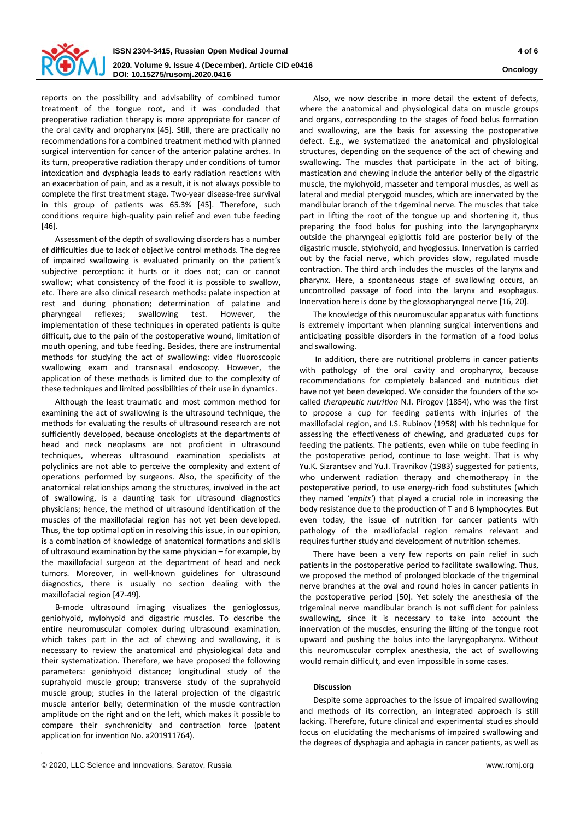

[46].

reports on the possibility and advisability of combined tumor treatment of the tongue root, and it was concluded that preoperative radiation therapy is more appropriate for cancer of the oral cavity and oropharynx [45]. Still, there are practically no recommendations for a combined treatment method with planned surgical intervention for cancer of the anterior palatine arches. In its turn, preoperative radiation therapy under conditions of tumor intoxication and dysphagia leads to early radiation reactions with an exacerbation of pain, and as a result, it is not always possible to complete the first treatment stage. Two-year disease-free survival in this group of patients was 65.3% [45]. Therefore, such conditions require high-quality pain relief and even tube feeding

Assessment of the depth of swallowing disorders has a number of difficulties due to lack of objective control methods. The degree of impaired swallowing is evaluated primarily on the patient's subjective perception: it hurts or it does not; can or cannot swallow; what consistency of the food it is possible to swallow, etc. There are also clinical research methods: palate inspection at rest and during phonation; determination of palatine and pharyngeal reflexes; swallowing test. However, the implementation of these techniques in operated patients is quite difficult, due to the pain of the postoperative wound, limitation of mouth opening, and tube feeding. Besides, there are instrumental methods for studying the act of swallowing: video fluoroscopic swallowing exam and transnasal endoscopy. However, the application of these methods is limited due to the complexity of these techniques and limited possibilities of their use in dynamics.

Although the least traumatic and most common method for examining the act of swallowing is the ultrasound technique, the methods for evaluating the results of ultrasound research are not sufficiently developed, because oncologists at the departments of head and neck neoplasms are not proficient in ultrasound techniques, whereas ultrasound examination specialists at polyclinics are not able to perceive the complexity and extent of operations performed by surgeons. Also, the specificity of the anatomical relationships among the structures, involved in the act of swallowing, is a daunting task for ultrasound diagnostics physicians; hence, the method of ultrasound identification of the muscles of the maxillofacial region has not yet been developed. Thus, the top optimal option in resolving this issue, in our opinion, is a combination of knowledge of anatomical formations and skills of ultrasound examination by the same physician – for example, by the maxillofacial surgeon at the department of head and neck tumors. Moreover, in well-known guidelines for ultrasound diagnostics, there is usually no section dealing with the maxillofacial region [47-49].

B-mode ultrasound imaging visualizes the genioglossus, geniohyoid, mylohyoid and digastric muscles. To describe the entire neuromuscular complex during ultrasound examination, which takes part in the act of chewing and swallowing, it is necessary to review the anatomical and physiological data and their systematization. Therefore, we have proposed the following parameters: geniohyoid distance; longitudinal study of the suprahyoid muscle group; transverse study of the suprahyoid muscle group; studies in the lateral projection of the digastric muscle anterior belly; determination of the muscle contraction amplitude on the right and on the left, which makes it possible to compare their synchronicity and contraction force (patent application for invention No. a201911764).

Also, we now describe in more detail the extent of defects, where the anatomical and physiological data on muscle groups and organs, corresponding to the stages of food bolus formation and swallowing, are the basis for assessing the postoperative defect. E.g., we systematized the anatomical and physiological structures, depending on the sequence of the act of chewing and swallowing. The muscles that participate in the act of biting, mastication and chewing include the anterior belly of the digastric muscle, the mylohyoid, masseter and temporal muscles, as well as lateral and medial pterygoid muscles, which are innervated by the mandibular branch of the trigeminal nerve. The muscles that take part in lifting the root of the tongue up and shortening it, thus preparing the food bolus for pushing into the laryngopharynx outside the pharyngeal epiglottis fold are posterior belly of the digastric muscle, stylohyoid, and hyoglossus. Innervation is carried out by the facial nerve, which provides slow, regulated muscle contraction. The third arch includes the muscles of the larynx and pharynx. Here, a spontaneous stage of swallowing occurs, an uncontrolled passage of food into the larynx and esophagus. Innervation here is done by the glossopharyngeal nerve [16, 20].

The knowledge of this neuromuscular apparatus with functions is extremely important when planning surgical interventions and anticipating possible disorders in the formation of a food bolus and swallowing.

In addition, there are nutritional problems in cancer patients with pathology of the oral cavity and oropharynx, because recommendations for completely balanced and nutritious diet have not yet been developed. We consider the founders of the socalled *therapeutic nutrition* N.I. Pirogov (1854), who was the first to propose a cup for feeding patients with injuries of the maxillofacial region, and I.S. Rubinov (1958) with his technique for assessing the effectiveness of chewing, and graduated cups for feeding the patients. The patients, even while on tube feeding in the postoperative period, continue to lose weight. That is why Yu.K. Sizrantsev and Yu.I. Travnikov (1983) suggested for patients, who underwent radiation therapy and chemotherapy in the postoperative period, to use energy-rich food substitutes (which they named '*enpits'*) that played a crucial role in increasing the body resistance due to the production of T and B lymphocytes. But even today, the issue of nutrition for cancer patients with pathology of the maxillofacial region remains relevant and requires further study and development of nutrition schemes.

There have been a very few reports on pain relief in such patients in the postoperative period to facilitate swallowing. Thus, we proposed the method of prolonged blockade of the trigeminal nerve branches at the oval and round holes in cancer patients in the postoperative period [50]. Yet solely the anesthesia of the trigeminal nerve mandibular branch is not sufficient for painless swallowing, since it is necessary to take into account the innervation of the muscles, ensuring the lifting of the tongue root upward and pushing the bolus into the laryngopharynx. Without this neuromuscular complex anesthesia, the act of swallowing would remain difficult, and even impossible in some cases.

## **Discussion**

Despite some approaches to the issue of impaired swallowing and methods of its correction, an integrated approach is still lacking. Therefore, future clinical and experimental studies should focus on elucidating the mechanisms of impaired swallowing and the degrees of dysphagia and aphagia in cancer patients, as well as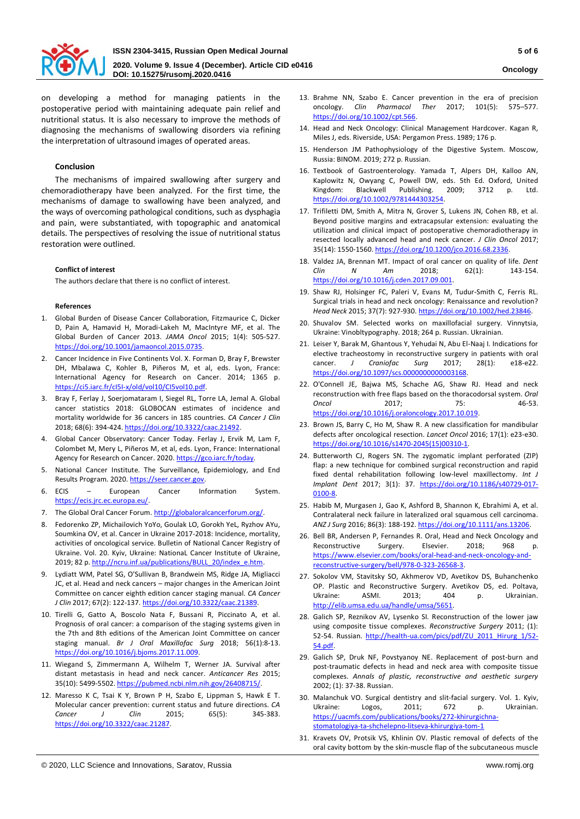

on developing a method for managing patients in the postoperative period with maintaining adequate pain relief and nutritional status. It is also necessary to improve the methods of diagnosing the mechanisms of swallowing disorders via refining the interpretation of ultrasound images of operated areas.

## **Conclusion**

The mechanisms of impaired swallowing after surgery and chemoradiotherapy have been analyzed. For the first time, the mechanisms of damage to swallowing have been analyzed, and the ways of overcoming pathological conditions, such as dysphagia and pain, were substantiated, with topographic and anatomical details. The perspectives of resolving the issue of nutritional status restoration were outlined.

## **Conflict of interest**

The authors declare that there is no conflict of interest.

#### **References**

- 1. Global Burden of Disease Cancer Collaboration, Fitzmaurice C, Dicker D, Pain A, Hamavid H, Moradi-Lakeh M, MacIntyre MF, et al. The Global Burden of Cancer 2013. *JAMA Oncol* 2015; 1(4): 505-527. [https://doi.org/10.1001/jamaoncol.2015.0735.](https://doi.org/10.1001/jamaoncol.2015.0735)
- 2. Cancer Incidence in Five Continents Vol. X. Forman D, Bray F, Brewster DH, Mbalawa C, Kohler B, Piñeros M, et al, eds. Lyon, France: International Agency for Research on Cancer. 2014; 1365 p. https://ci5.iarc.fr/cI5I-[x/old/vol10/CI5vol10.pdf.](https://ci5.iarc.fr/cI5I-x/old/vol10/CI5vol10.pdf)
- 3. Bray F, Ferlay J, Soerjomataram I, Siegel RL, Torre LA, Jemal A. Global cancer statistics 2018: GLOBOCAN estimates of incidence and mortality worldwide for 36 cancers in 185 countries. *CA Cancer J Clin* 2018; 68(6): 394-424[. https://doi.org/10.3322/caac.21492.](https://doi.org/10.3322/caac.21492)
- 4. Global Cancer Observatory: Cancer Today. Ferlay J, Ervik M, Lam F, Colombet M, Mery L, Piñeros M, et al, eds. Lyon, France: International Agency for Research on Cancer. 2020. https://gco.iarc.fr/today.
- 5. National Cancer Institute. The Surveillance, Epidemiology, and End Results Program. 2020. [https://seer.cancer.gov.](https://seer.cancer.gov/)
- 6. ECIS European Cancer Information System. [https://ecis.jrc.ec.europa.eu/.](https://ecis.jrc.ec.europa.eu/)
- 7. The Global Oral Cancer Forum[. http://globaloralcancerforum.org/.](http://globaloralcancerforum.org/)
- 8. Fedorenko ZP, Michailovich YoYo, Goulak LO, Gorokh YeL, Ryzhov AYu, Soumkina OV, et al. Cancer in Ukraine 2017-2018: Incidence, mortality, activities of oncological service. Bulletin of National Cancer Registry of Ukraine. Vol. 20. Kyiv, Ukraine: NationaL Cancer Institute of Ukraine, 2019; 82 p. [http://ncru.inf.ua/publications/BULL\\_20/index\\_e.htm.](http://ncru.inf.ua/publications/BULL_20/index_e.htm)
- 9. Lydiatt WM, Patel SG, O'Sullivan B, Brandwein MS, Ridge JA, Migliacci JC, et al. Head and neck cancers – major changes in the American Joint Committee on cancer eighth edition cancer staging manual. *CA Cancer J Clin* 2017; 67(2): 122-137[. https://doi.org/10.3322/caac.21389.](https://doi.org/10.3322/caac.21389)
- 10. Tirelli G, Gatto A, Boscolo Nata F, Bussani R, Piccinato A, et al. Prognosis of oral cancer: a comparison of the staging systems given in the 7th and 8th editions of the American Joint Committee on cancer staging manual. *Br J Oral Maxillofac Surg* 2018; 56(1):8-13. [https://doi.org/10.1016/j.bjoms.2017.11.009.](https://doi.org/10.1016/j.bjoms.2017.11.009)
- 11. Wiegand S, Zimmermann A, Wilhelm T, Werner JA. Survival after distant metastasis in head and neck cancer. *Anticancer Res* 2015; 35(10): 5499-5502[. https://pubmed.ncbi.nlm.nih.gov/26408715/.](https://pubmed.ncbi.nlm.nih.gov/26408715/)
- 12. Maresso K C, Tsai K Y, Brown P H, Szabo E, Lippman S, Hawk E T. Molecular cancer prevention: current status and future directions. *CA Cancer J Clin* 2015; 65(5): 345-383. [https://doi.org/10.3322/caac.21287.](https://doi.org/10.3322/caac.21287)
- 13. Brahme NN, Szabo E. Cancer prevention in the era of precision oncology. *Clin Pharmacol Ther* 2017; 101(5): 575–577. [https://doi.org/10.1002/cpt.566.](https://doi.org/10.1002/cpt.566)
- 14. Head and Neck Oncology: Clinical Management Hardcover. Kagan R, Miles J, eds. Riverside, USA: Pergamon Press. 1989; 176 p.
- 15. Henderson JM Pathophysiology of the Digestive System. Moscow, Russia: BINOM. 2019; 272 р. Russian.
- 16. Textbook of Gastroenterology. Yamada T, Alpers DH, Kalloo AN, Kaplowitz N, Owyang C, Powell DW, eds. 5th Ed. Oxford, United Kingdom: Blackwell Publishing. 2009; 3712 p. Ltd. [https://doi.org/10.1002/9781444303254.](https://doi.org/10.1002/9781444303254)
- 17. Trifiletti DM, Smith A, Mitra N, Grover S, Lukens JN, Cohen RB, et al. Beyond positive margins and extracapsular extension: evaluating the utilization and clinical impact of postoperative chemoradiotherapy in resected locally advanced head and neck cancer. *J Clin Oncol* 2017; 35(14): 1550-1560[. https://doi.org/10.1200/jco.2016.68.2336.](https://doi.org/10.1200/jco.2016.68.2336)
- 18. Valdez JA, Brennan MT. Impact of oral cancer on quality of life. *Dent Clin N Am* 2018; 62(1): 143-154. [https://doi.org/10.1016/j.cden.2017.09.001.](https://doi.org/10.1016/j.cden.2017.09.001)
- 19. Shaw RJ, Holsinger FC, Paleri V, Evans M, Tudur-Smith C, Ferris RL. Surgical trials in head and neck oncology: Renaissance and revolution? *Head Neck* 2015; 37(7): 927-930. [https://doi.org/10.1002/hed.23846.](https://doi.org/10.1002/hed.23846)
- 20. Shuvalov SM. Selected works on maxillofacial surgery. Vinnytsia, Ukraine: Vinobltypography. 2018; 264 р. Russian. Ukrainian.
- 21. Leiser Y, Barak M, Ghantous Y, Yehudai N, Abu El-Naaj I. Indications for elective tracheostomy in reconstructive surgery in patients with oral cancer. *J Craniofac Surg* 2017; 28(1): e18-e22. [https://doi.org/10.1097/scs.0000000000003168.](https://doi.org/10.1097/scs.0000000000003168)
- 22. O'Connell JE, Bajwa MS, Schache AG, Shaw RJ. Head and neck reconstruction with free flaps based on the thoracodorsal system. *Oral Oncol* 2017; 75: 46-53. [https://doi.org/10.1016/j.oraloncology.2017.10.019.](https://doi.org/10.1016/j.oraloncology.2017.10.019)
- 23. Brown JS, Barry C, Ho M, Shaw R. A new classification for mandibular defects after oncological resection. *Lancet Oncol* 2016; 17(1): e23-e30. [https://doi.org/10.1016/s1470](https://doi.org/10.1016/s1470-2045(15)00310-1)-2045(15)00310-1.
- 24. Butterworth CJ, Rogers SN. The zygomatic implant perforated (ZIP) flap: a new technique for combined surgical reconstruction and rapid fixed dental rehabilitation following low-level maxillectomy. *Int J Implant Dent* 2017; 3(1): 37. [https://doi.org/10.1186/s40729](https://doi.org/10.1186/s40729-017-0100-8)-017- [0100-](https://doi.org/10.1186/s40729-017-0100-8)8.
- 25. Habib M, Murgasen J, Gao K, Ashford B, Shannon K, Ebrahimi A, et al. Contralateral neck failure in lateralized oral squamous cell carcinoma. *ANZ J Surg* 2016; 86(3): 188-192[. https://doi.org/10.1111/ans.13206.](https://doi.org/10.1111/ans.13206)
- 26. Bell BR, Andersen P, Fernandes R. Oral, Head and Neck Oncology and Reconstructive Surgery. Elsevier. 2018; 968 p. [https://www.elsevier.com/books/oral](https://www.elsevier.com/books/oral-head-and-neck-oncology-and-reconstructive-surgery/bell/978-0-323-26568-3)-head-and-neck-oncology-andreconstructive-[surgery/bell/978](https://www.elsevier.com/books/oral-head-and-neck-oncology-and-reconstructive-surgery/bell/978-0-323-26568-3)-0-323-26568-3.
- 27. Sokolov VM, Stavitsky SO, Akhmerov VD, Avetikov DS, Buhanchenko OP. Plastic and Reconstructive Surgery. Avetikov DS, ed. Poltava, Ukraine: ASMI. 2013; 404 p. Ukrainian. [http://elib.umsa.edu.ua/handle/umsa/5651.](http://elib.umsa.edu.ua/handle/umsa/5651)
- 28. Galich SP, Reznikov AV, Lysenko SI. Reconstruction of the lower jaw using composite tissue complexes. *Reconstructive Surgery* 2011; (1): 52-54. Russian. http://health-[ua.com/pics/pdf/ZU\\_2011\\_Hirurg\\_1/52](http://health-ua.com/pics/pdf/ZU_2011_Hirurg_1/52-54.pdf)- [54.pdf.](http://health-ua.com/pics/pdf/ZU_2011_Hirurg_1/52-54.pdf)
- 29. Galich SP, Druk NF, Povstyanoy NE. Replacement of post-burn and post-traumatic defects in head and neck area with composite tissue complexes. *Annals of plastic, reconstructive and aesthetic surgery* 2002; (1): 37-38. Russian.
- 30. Malanchuk VO. Surgical dentistry and slit-facial surgery. Vol. 1. Kyiv, Ukraine: Logos, 2011; 672 p. Ukrainian. [https://uacmfs.com/publications/books/272](https://uacmfs.com/publications/books/272-khirurgichna-stomatologiya-ta-shchelepno-litseva-khirurgiya-tom-1)-khirurgichna[stomatologiya](https://uacmfs.com/publications/books/272-khirurgichna-stomatologiya-ta-shchelepno-litseva-khirurgiya-tom-1)-ta-shchelepno-litseva-khirurgiya-tom-1
- 31. Kravets OV, Protsik VS, Khlinin OV. Plastic removal of defects of the oral cavity bottom by the skin-muscle flap of the subcutaneous muscle